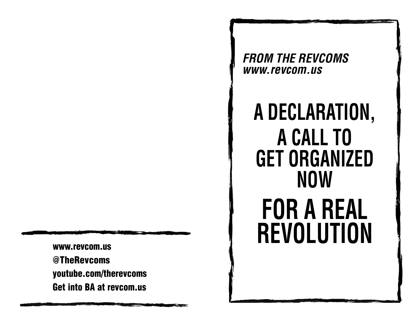**www.revcom.us@TheRevcoms youtube.com/therevcoms Get into BA at revcom.us**

*FROM THE REVCOMS www.revcom.us* 

# **A DECLARATION, A CALL TO GET ORGANIZED NOWFOR A REAL REVOLUTION**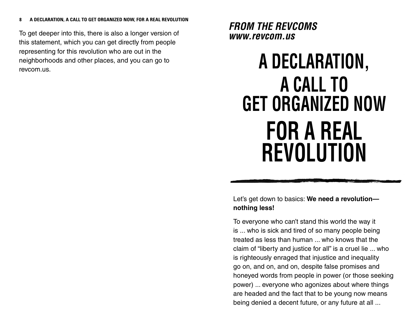To get deeper into this, there is also a longer version of this statement, which you can get directly from people representing for this revolution who are out in the neighborhoods and other places, and you can go to revcom.us.

*FROM THE REVCOMS www.revcom.us* 

## **A DECLARATION, A CALL TO GET ORGANIZED NOWFOR A REAL REVOLUTION**

Let's get down to basics: **We need a revolution nothing less!**

To everyone who can't stand this world the way it is ... who is sick and tired of so many people being treated as less than human ... who knows that the claim of "liberty and justice for all" is a cruel lie ... who is righteously enraged that injustice and inequality go on, and on, and on, despite false promises and honeyed words from people in power (or those seeking power) ... everyone who agonizes about where things are headed and the fact that to be young now means being denied a decent future, or any future at all ...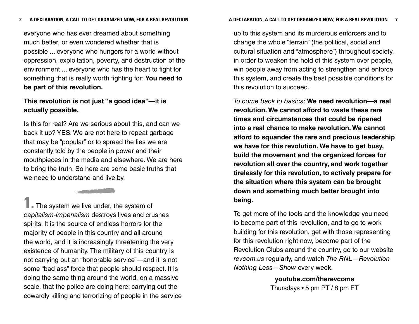everyone who has ever dreamed about something much better, or even wondered whether that is possible ... everyone who hungers for a world without oppression, exploitation, poverty, and destruction of the environment ... everyone who has the heart to fight for something that is really worth fighting for: **You need to be part of this revolution.**

### **This revolution is not just "a good idea"—it is actually possible.**

Is this for real? Are we serious about this, and can we back it up? YES. We are not here to repeat garbage that may be "popular" or to spread the lies we are constantly told by the people in power and their mouthpieces in the media and elsewhere. We are here to bring the truth. So here are some basic truths that we need to understand and live by.

**1.** The system we live under, the system of capitalism-imperialism destroys lives and crushes spirits. It is the source of endless horrors for the majority of people in this country and all around the world, and it is increasingly threatening the very existence of humanity. The military of this country is not carrying out an "honorable service"—and it is not some "bad ass" force that people should respect. It is doing the same thing around the world, on a massive scale, that the police are doing here: carrying out the cowardly killing and terrorizing of people in the service

up to this system and its murderous enforcers and to change the whole "terrain" (the political, social and cultural situation and "atmosphere") throughout society, in order to weaken the hold of this system over people, win people away from acting to strengthen and enforce this system, and create the best possible conditions for this revolution to succeed.

To come back to basics: **We need revolution—a real revolution. We cannot afford to waste these rare times and circumstances that could be ripened into a real chance to make revolution. We cannot afford to squander the rare and precious leadership we have for this revolution. We have to get busy, build the movement and the organized forces for revolution all over the country, and work together tirelessly for this revolution, to actively prepare for the situation where this system can be brought down and something much better brought into being.**

To get more of the tools and the knowledge you need to become part of this revolution, and to go to work building for this revolution, get with those representing for this revolution right now, become part of the Revolution Clubs around the country, go to our website revcom.us regularly, and watch The RNL—Revolution Nothing Less—Show every week.

> **youtube.com/therevcoms** Thursdays • 5 pm PT / 8 pm ET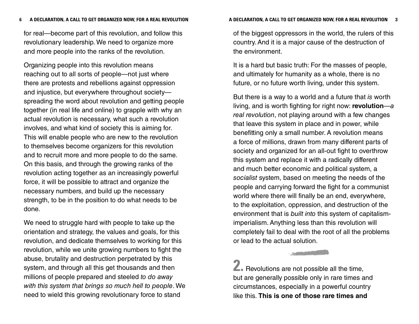for real—become part of this revolution, and follow this revolutionary leadership. We need to organize more and more people into the ranks of the revolution.

Organizing people into this revolution means reaching out to all sorts of people—not just where there are protests and rebellions against oppression and injustice, but everywhere throughout society spreading the word about revolution and getting people together (in real life and online) to grapple with why an actual revolution is necessary, what such a revolution involves, and what kind of society this is aiming for. This will enable people who are new to the revolution to themselves become organizers for this revolution and to recruit more and more people to do the same. On this basis, and through the growing ranks of the revolution acting together as an increasingly powerful force, it will be possible to attract and organize the necessary numbers, and build up the necessary strength, to be in the position to do what needs to be done.

We need to struggle hard with people to take up the orientation and strategy, the values and goals, for this revolution, and dedicate themselves to working for this revolution, while we unite growing numbers to fight the abuse, brutality and destruction perpetrated by this system, and through all this get thousands and then millions of people prepared and steeled to do away with this system that brings so much hell to people. We need to wield this growing revolutionary force to stand

of the biggest oppressors in the world, the rulers of this country. And it is a major cause of the destruction of the environment.

It is a hard but basic truth: For the masses of people, and ultimately for humanity as a whole, there is no future, or no future worth living, under this system.

But there is a way to a world and a future that is worth living, and is worth fighting for right now: **revolution** —a real revolution, not playing around with a few changes that leave this system in place and in power, while benefitting only a small number. A revolution means a force of millions, drawn from many different parts of society and organized for an all-out fight to overthrow this system and replace it with a radically different and much better economic and political system, a socialist system, based on meeting the needs of the people and carrying forward the fight for a communist world where there will finally be an end, everywhere, to the exploitation, oppression, and destruction of the environment that is built into this system of capitalismimperialism. Anything less than this revolution will completely fail to deal with the root of all the problems or lead to the actual solution.

**2.** Revolutions are not possible all the time, but are generally possible only in rare times and circumstances, especially in a powerful country like this. **This is one of those rare times and**